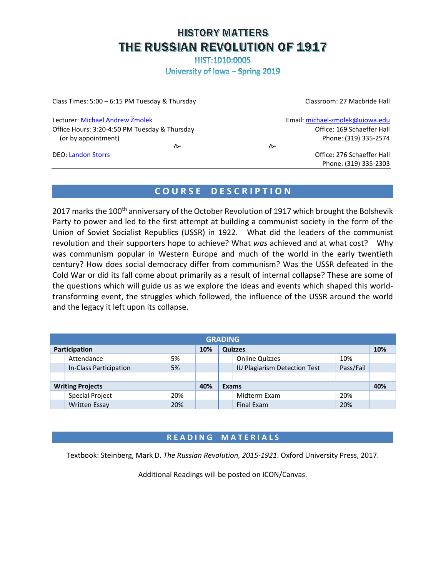# **HISTORY MATTERS** THE RUSSIAN REVOLUTION OF 1917

HIST:1010:0005

University of Iowa - Spring 2019

| Class Times: 5:00 - 6:15 PM Tuesday & Thursday | Classroom: 27 Macbride Hall     |  |  |
|------------------------------------------------|---------------------------------|--|--|
| Lecturer: Michael Andrew Žmolek                | Email: michael-zmolek@uiowa.edu |  |  |
| Office Hours: 3:20-4:50 PM Tuesday & Thursday  | Office: 169 Schaeffer Hall      |  |  |
| (or by appointment)                            | Phone: (319) 335-2574           |  |  |
| ਨੇ∗                                            | ਣੇ                              |  |  |
| <b>DEO: Landon Storrs</b>                      | Office: 276 Schaeffer Hall      |  |  |
|                                                | Phone: (319) 335-2303           |  |  |

## **C O U R S E D E S C R I P T I O N**

2017 marks the 100<sup>th</sup> anniversary of the October Revolution of 1917 which brought the Bolshevik Party to power and led to the first attempt at building a communist society in the form of the Union of Soviet Socialist Republics (USSR) in 1922. What did the leaders of the communist revolution and their supporters hope to achieve? What *was* achieved and at what cost? Why was communism popular in Western Europe and much of the world in the early twentieth century? How does social democracy differ from communism? Was the USSR defeated in the Cold War or did its fall come about primarily as a result of internal collapse? These are some of the questions which will guide us as we explore the ideas and events which shaped this worldtransforming event, the struggles which followed, the influence of the USSR around the world and the legacy it left upon its collapse.

| <b>GRADING</b>          |                        |     |                |  |                              |           |  |
|-------------------------|------------------------|-----|----------------|--|------------------------------|-----------|--|
| Participation           |                        | 10% | <b>Quizzes</b> |  |                              | 10%       |  |
|                         | Attendance             | 5%  |                |  | <b>Online Quizzes</b>        | 10%       |  |
|                         | In-Class Participation | 5%  |                |  | IU Plagiarism Detection Test | Pass/Fail |  |
|                         |                        |     |                |  |                              |           |  |
| <b>Writing Projects</b> |                        | 40% | Exams          |  |                              | 40%       |  |
|                         | <b>Special Project</b> | 20% |                |  | Midterm Exam                 | 20%       |  |
|                         | <b>Written Essay</b>   | 20% |                |  | Final Exam                   | 20%       |  |

## **R E A D I N G M A T E R I A L S**

Textbook: Steinberg, Mark D. *The Russian Revolution, 2015-1921*. Oxford University Press, 2017.

Additional Readings will be posted on ICON/Canvas.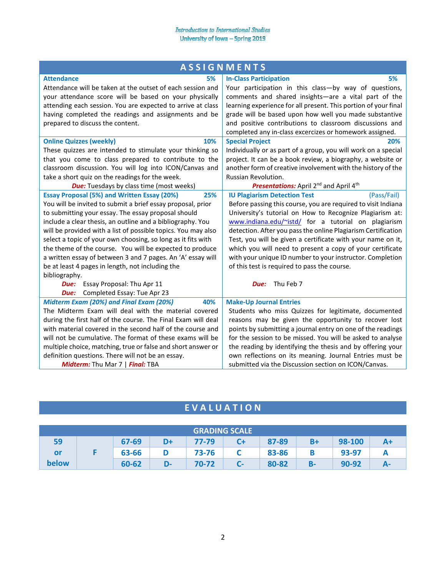|                                                               | <b>ASSIGNMENTS</b>                                                    |
|---------------------------------------------------------------|-----------------------------------------------------------------------|
| <b>Attendance</b><br>5%                                       | <b>In-Class Participation</b><br>5%                                   |
| Attendance will be taken at the outset of each session and    | Your participation in this class-by way of questions,                 |
| your attendance score will be based on your physically        | comments and shared insights-are a vital part of the                  |
| attending each session. You are expected to arrive at class   | learning experience for all present. This portion of your final       |
| having completed the readings and assignments and be          | grade will be based upon how well you made substantive                |
| prepared to discuss the content.                              | and positive contributions to classroom discussions and               |
|                                                               | completed any in-class excercizes or homework assigned.               |
| <b>Online Quizzes (weekly)</b><br>10%                         | <b>Special Project</b><br>20%                                         |
| These quizzes are intended to stimulate your thinking so      | Individually or as part of a group, you will work on a special        |
| that you come to class prepared to contribute to the          | project. It can be a book review, a biography, a website or           |
| classroom discussion. You will log into ICON/Canvas and       | another form of creative involvement with the history of the          |
| take a short quiz on the readings for the week.               | Russian Revolution.                                                   |
| <b>Due:</b> Tuesdays by class time (most weeks)               | <b>Presentations:</b> April 2 <sup>nd</sup> and April 4 <sup>th</sup> |
| <b>Essay Proposal (5%) and Written Essay (20%)</b><br>25%     | <b>IU Plagiarism Detection Test</b><br>(Pass/Fail)                    |
| You will be invited to submit a brief essay proposal, prior   | Before passing this course, you are required to visit Indiana         |
| to submitting your essay. The essay proposal should           | University's tutorial on How to Recognize Plagiarism at:              |
| include a clear thesis, an outline and a bibliography. You    | www.indiana.edu/~istd/ for a tutorial on plagiarism                   |
| will be provided with a list of possible topics. You may also | detection. After you pass the online Plagiarism Certification         |
| select a topic of your own choosing, so long as it fits with  | Test, you will be given a certificate with your name on it,           |
| the theme of the course. You will be expected to produce      | which you will need to present a copy of your certificate             |
| a written essay of between 3 and 7 pages. An 'A' essay will   | with your unique ID number to your instructor. Completion             |
| be at least 4 pages in length, not including the              | of this test is required to pass the course.                          |
| bibliography.                                                 |                                                                       |
| Essay Proposal: Thu Apr 11<br>Due:                            | Thu Feb 7<br>Due:                                                     |
| Completed Essay: Tue Apr 23<br>Due:                           |                                                                       |
| Midterm Exam (20%) and Final Exam (20%)<br>40%                | <b>Make-Up Journal Entries</b>                                        |
| The Midterm Exam will deal with the material covered          | Students who miss Quizzes for legitimate, documented                  |
| during the first half of the course. The Final Exam will deal | reasons may be given the opportunity to recover lost                  |
| with material covered in the second half of the course and    | points by submitting a journal entry on one of the readings           |
| will not be cumulative. The format of these exams will be     | for the session to be missed. You will be asked to analyse            |
| multiple choice, matching, true or false and short answer or  | the reading by identifying the thesis and by offering your            |
| definition questions. There will not be an essay.             | own reflections on its meaning. Journal Entries must be               |
| Midterm: Thu Mar 7   Final: TBA                               | submitted via the Discussion section on ICON/Canvas.                  |

# **E V A L U A T I O N**

| <b>GRADING SCALE</b> |  |       |    |       |      |       |      |           |    |
|----------------------|--|-------|----|-------|------|-------|------|-----------|----|
| 59                   |  | 67-69 | D+ | 77-79 | C+   | 87-89 | $B+$ | 98-100    |    |
| or                   |  | 63-66 |    | 73-76 |      | 83-86 |      | 93-97     |    |
| below                |  | 60-62 | D- | 70-72 | $C-$ | 80-82 | В-   | $90 - 92$ | А- |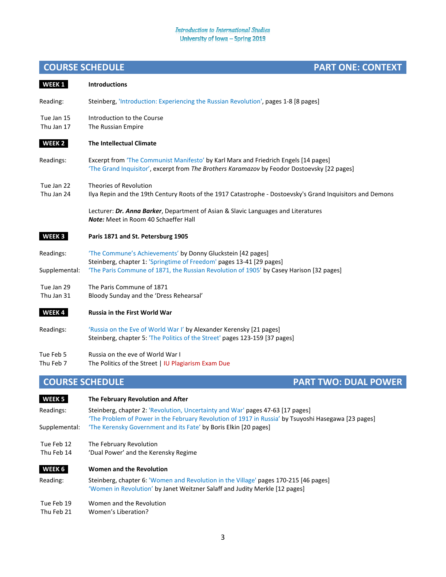# **COURSE SCHEDULE PART ONE: CONTEXT**

| WEEK <sub>1</sub>              | <b>Introductions</b>                                                                                                                                                                                                           |  |  |  |  |  |
|--------------------------------|--------------------------------------------------------------------------------------------------------------------------------------------------------------------------------------------------------------------------------|--|--|--|--|--|
| Reading:                       | Steinberg, 'Introduction: Experiencing the Russian Revolution', pages 1-8 [8 pages]                                                                                                                                            |  |  |  |  |  |
| Tue Jan 15<br>Thu Jan 17       | Introduction to the Course<br>The Russian Empire                                                                                                                                                                               |  |  |  |  |  |
| WEEK 2                         | <b>The Intellectual Climate</b>                                                                                                                                                                                                |  |  |  |  |  |
| Readings:                      | Excerpt from 'The Communist Manifesto' by Karl Marx and Friedrich Engels [14 pages]<br>'The Grand Inquisitor', excerpt from The Brothers Karamazov by Feodor Dostoevsky [22 pages]                                             |  |  |  |  |  |
| Tue Jan 22<br>Thu Jan 24       | Theories of Revolution<br>Ilya Repin and the 19th Century Roots of the 1917 Catastrophe - Dostoevsky's Grand Inquisitors and Demons                                                                                            |  |  |  |  |  |
|                                | Lecturer: Dr. Anna Barker, Department of Asian & Slavic Languages and Literatures<br><b>Note:</b> Meet in Room 40 Schaeffer Hall                                                                                               |  |  |  |  |  |
| WEEK <sub>3</sub>              | Paris 1871 and St. Petersburg 1905                                                                                                                                                                                             |  |  |  |  |  |
| Readings:<br>Supplemental:     | 'The Commune's Achievements' by Donny Gluckstein [42 pages]<br>Steinberg, chapter 1: 'Springtime of Freedom' pages 13-41 [29 pages]<br>'The Paris Commune of 1871, the Russian Revolution of 1905' by Casey Harison [32 pages] |  |  |  |  |  |
| Tue Jan 29<br>Thu Jan 31       | The Paris Commune of 1871<br>Bloody Sunday and the 'Dress Rehearsal'                                                                                                                                                           |  |  |  |  |  |
| WEEK4                          | <b>Russia in the First World War</b>                                                                                                                                                                                           |  |  |  |  |  |
| Readings:                      | 'Russia on the Eve of World War I' by Alexander Kerensky [21 pages]<br>Steinberg, chapter 5: 'The Politics of the Street' pages 123-159 [37 pages]                                                                             |  |  |  |  |  |
| Tue Feb 5<br>Thu Feb 7         | Russia on the eve of World War I<br>The Politics of the Street   IU Plagiarism Exam Due                                                                                                                                        |  |  |  |  |  |
| <b>COURSE SCHEDULE</b>         | <b>PART TWO: DUAL POWER</b>                                                                                                                                                                                                    |  |  |  |  |  |
| WEEK <sub>5</sub><br>Readings: | The February Revolution and After<br>Steinberg, chapter 2: 'Revolution, Uncertainty and War' pages 47-63 [17 pages]<br>'The Problem of Power in the February Revolution of 1917 in Russia' by Tsuyoshi Hasegawa [23 pages]     |  |  |  |  |  |

- Supplemental: 'The Kerensky Government and its Fate' by Boris Elkin [20 pages]
- Tue Feb 12 The February Revolution
- Thu Feb 14 'Dual Power' and the Kerensky Regime
- **\_WEEK 6\_ Women and the Revolution**
- Reading: Steinberg, chapter 6: 'Women and Revolution in the Village' pages 170-215 [46 pages] 'Women in Revolution' by Janet Weitzner Salaff and Judity Merkle [12 pages]
- Tue Feb 19 Women and the Revolution
- Thu Feb 21 Women's Liberation?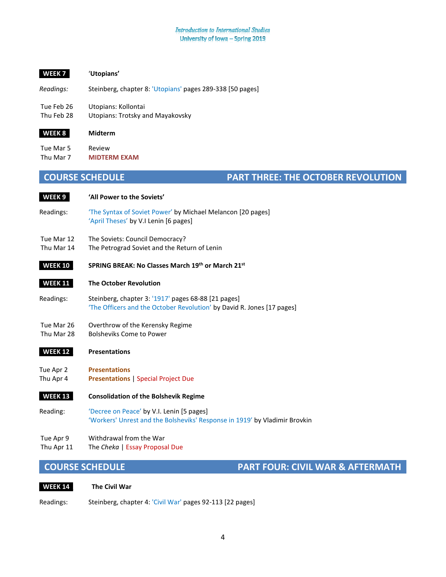## **\_WEEK 7\_** '**Utopians'**

*Readings:* Steinberg, chapter 8: 'Utopians' pages 289-338 [50 pages]

Tue Feb 26 Utopians: Kollontai

Thu Feb 28 Utopians: Trotsky and Mayakovsky

| WEEK 8 | Midterm |
|--------|---------|
|        |         |

Tue Mar 5 Review Thu Mar 7 **MIDTERM EXAM**

## **COURSE SCHEDULE PART THREE: THE OCTOBER REVOLUTION**

# **\_WEEK 9\_ 'All Power to the Soviets'**

- Readings: 'The Syntax of Soviet Power' by Michael Melancon [20 pages] 'April Theses' by V.I Lenin [6 pages]
- Tue Mar 12 The Soviets: Council Democracy?
- Thu Mar 14 The Petrograd Soviet and the Return of Lenin
- **\_WEEK 10\_ SPRING BREAK: No Classes March 19th or March 21st**

### **\_WEEK 11\_ The October Revolution**

Readings: Steinberg, chapter 3: '1917' pages 68-88 [21 pages] 'The Officers and the October Revolution' by David R. Jones [17 pages]

## Tue Mar 26 Overthrow of the Kerensky Regime

Thu Mar 28 Bolsheviks Come to Power

## **\_WEEK 12\_ Presentations**

- Tue Apr 2 **Presentations** Thu Apr 4 **Presentations** | Special Project Due
- **\_WEEK 13\_ Consolidation of the Bolshevik Regime**
- Reading: 'Decree on Peace' by V.I. Lenin [5 pages] 'Workers' Unrest and the Bolsheviks' Response in 1919' by Vladimir Brovkin
- Tue Apr 9 Withdrawal from the War
- Thu Apr 11 The *Cheka* | Essay Proposal Due

**COURSE SCHEDULE PART FOUR: CIVIL WAR & AFTERMATH**

**\_WEEK 14\_ The Civil War**

Readings: Steinberg, chapter 4: 'Civil War' pages 92-113 [22 pages]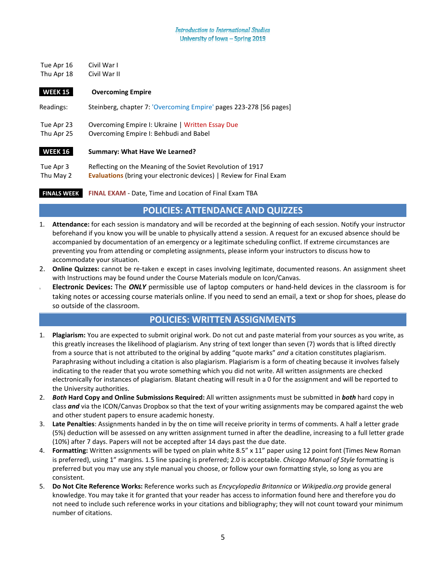Tue Apr 16 Civil War I Thu Apr 18 Civil War II

## **\_WEEK 15\_ Overcoming Empire**

Readings: Steinberg, chapter 7: 'Overcoming Empire' pages 223-278 [56 pages] Tue Apr 23 Overcoming Empire I: Ukraine | Written Essay Due Thu Apr 25 Overcoming Empire I: Behbudi and Babel **\_WEEK 16\_ Summary: What Have We Learned?** Tue Apr 3 Reflecting on the Meaning of the Soviet Revolution of 1917

Thu May 2 **Evaluations** (bring your electronic devices) | Review for Final Exam

**\_FINALS WEEK\_ FINAL EXAM** - Date, Time and Location of Final Exam TBA

## **POLICIES: ATTENDANCE AND QUIZZES**

- 1. **Attendance:** for each session is mandatory and will be recorded at the beginning of each session. Notify your instructor beforehand if you know you will be unable to physically attend a session. A request for an excused absence should be accompanied by documentation of an emergency or a legitimate scheduling conflict. If extreme circumstances are preventing you from attending or completing assignments, please inform your instructors to discuss how to accommodate your situation.
- 2. **Online Quizzes:** cannot be re-taken e except in cases involving legitimate, documented reasons. An assignment sheet with Instructions may be found under the Course Materials module on Icon/Canvas.
- 3. **Electronic Devices:** The *ONLY* permissible use of laptop computers or hand-held devices in the classroom is for taking notes or accessing course materials online. If you need to send an email, a text or shop for shoes, please do so outside of the classroom.

## **POLICIES: WRITTEN ASSIGNMENTS**

- 1. **Plagiarism:** You are expected to submit original work. Do not cut and paste material from your sources as you write, as this greatly increases the likelihood of plagiarism. Any string of text longer than seven (7) words that is lifted directly from a source that is not attributed to the original by adding "quote marks" *and* a citation constitutes plagiarism. Paraphrasing without including a citation is also plagiarism. Plagiarism is a form of cheating because it involves falsely indicating to the reader that you wrote something which you did not write. All written assignments are checked electronically for instances of plagiarism. Blatant cheating will result in a 0 for the assignment and will be reported to the University authorities.
- 2. *Both* **Hard Copy and Online Submissions Required:** All written assignments must be submitted in *both* hard copy in class *and* via the ICON/Canvas Dropbox so that the text of your writing assignments may be compared against the web and other student papers to ensure academic honesty.
- 3. **Late Penalties**: Assignments handed in by the on time will receive priority in terms of comments. A half a letter grade (5%) deduction will be assessed on any written assignment turned in after the deadline, increasing to a full letter grade (10%) after 7 days. Papers will not be accepted after 14 days past the due date.
- 4. **Formatting:** Written assignments will be typed on plain white 8.5" x 11" paper using 12 point font (Times New Roman is preferred), using 1" margins. 1.5 line spacing is preferred; 2.0 is acceptable. *Chicago Manual of Style* formatting is preferred but you may use any style manual you choose, or follow your own formatting style, so long as you are consistent.
- 5. **Do Not Cite Reference Works:** Reference works such as *Encycylopedia Britannica* or *Wikipedia.org* provide general knowledge. You may take it for granted that your reader has access to information found here and therefore you do not need to include such reference works in your citations and bibliography; they will not count toward your minimum number of citations.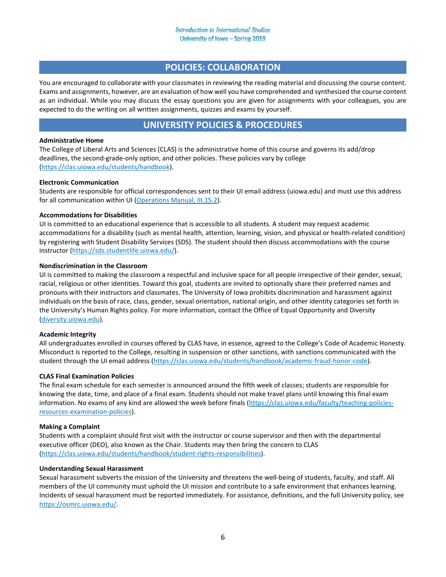## **POLICIES: COLLABORATION**

You are encouraged to collaborate with your classmates in reviewing the reading material and discussing the course content. Exams and assignments, however, are an evaluation of how well you have comprehended and synthesized the course content as an individual. While you may discuss the essay questions you are given for assignments with your colleagues, you are expected to do the writing on all written assignments, quizzes and exams by yourself.

## **UNIVERSITY POLICIES & PROCEDURES**

## **Administrative Home**

The College of Liberal Arts and Sciences (CLAS) is the administrative home of this course and governs its add/drop deadlines, the second-grade-only option, and other policies. These policies vary by college ([https://clas.uiowa.edu/students/handbook\)](https://clas.uiowa.edu/students/handbook).

### **Electronic Communication**

Students are responsible for official correspondences sent to their UI email address (uiowa.edu) and must use this address for all communication within UI ([Operations Manual, III.15.2\)](https://opsmanual.uiowa.edu/human-resources/professional-ethics-and-academic-responsibility/responsibilities-students).

### **Accommodations for Disabilities**

UI is committed to an educational experience that is accessible to all students. A student may request academic accommodations for a disability (such as mental health, attention, learning, vision, and physical or health-related condition) by registering with Student Disability Services (SDS). The student should then discuss accommodations with the course instructor ([https://sds.studentlife.uiowa.edu/\)](https://sds.studentlife.uiowa.edu/).

#### **Nondiscrimination in the Classroom**

UI is committed to making the classroom a respectful and inclusive space for all people irrespective of their gender, sexual, racial, religious or other identities. Toward this goal, students are invited to optionally share their preferred names and pronouns with their instructors and classmates. The University of Iowa prohibits discrimination and harassment against individuals on the basis of race, class, gender, sexual orientation, national origin, and other identity categories set forth in the University's Human Rights policy. For more information, contact the Office of Equal Opportunity and Diversity ([diversity.uiowa.edu\)](http://www.diversity.uiowa.edu/).

#### **Academic Integrity**

All undergraduates enrolled in courses offered by CLAS have, in essence, agreed to the College's Code of Academic Honesty. Misconduct is reported to the College, resulting in suspension or other sanctions, with sanctions communicated with the student through the UI email address ([https://clas.uiowa.edu/students/handbook/academic](https://clas.uiowa.edu/students/handbook/academic-fraud-honor-code)-fraud-honor-code).

#### **CLAS Final Examination Policies**

The final exam schedule for each semester is announced around the fifth week of classes; students are responsible for knowing the date, time, and place of a final exam. Students should not make travel plans until knowing this final exam information. No exams of any kind are allowed the week before finals [\(https://clas.uiowa.edu/faculty/teach](https://clas.uiowa.edu/faculty/teaching-policies-resources-examination-policies)ing-policies[resources-examination-policies](https://clas.uiowa.edu/faculty/teaching-policies-resources-examination-policies)).

#### **Making a Complaint**

Students with a complaint should first visit with the instructor or course supervisor and then with the departmental executive officer (DEO), also known as the Chair. Students may then bring the concern to CLAS ([https://clas.uiowa.edu/students/handbook/student](https://clas.uiowa.edu/students/handbook/student-rights-responsibilities)-rights-responsibilities).

#### **Understanding Sexual Harassment**

Sexual harassment subverts the mission of the University and threatens the well-being of students, faculty, and staff. All members of the UI community must uphold the UI mission and contribute to a safe environment that enhances learning. Incidents of sexual harassment must be reported immediately. For assistance, definitions, and the full University policy, see [https://osmrc.uiowa.edu/.](https://osmrc.uiowa.edu/)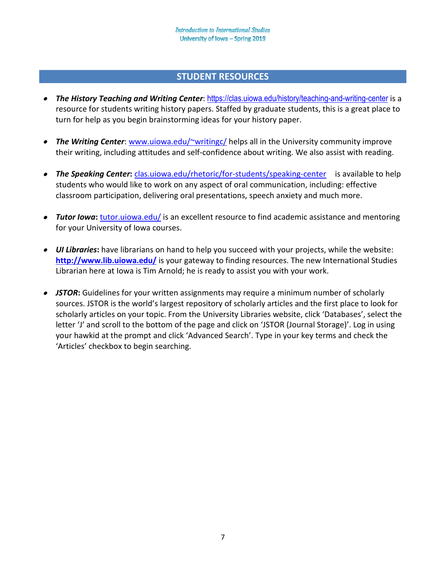## **STUDENT RESOURCES**

- *The History Teaching and Writing Center*: <https://clas.uiowa.edu/history/teaching-and-writing-center> is a resource for students writing history papers. Staffed by graduate students, this is a great place to turn for help as you begin brainstorming ideas for your history paper.
- *The Writing Center*: [www.uiowa.edu/~writingc/](http://www.uiowa.edu/%7Ewritingc/) helps all in the University community improve their writing, including attitudes and self-confidence about writing. We also assist with reading.
- **The Speaking Center:** clas.uiowa.edu/rhetoric/for-[students/speaking](http://clas.uiowa.edu/rhetoric/for-students/speaking-center)-center is available to help students who would like to work on any aspect of oral communication, including: effective classroom participation, delivering oral presentations, speech anxiety and much more.
- **Tutor Iowa:** [tutor.uiowa.edu/](http://tutor.uiowa.edu/) is an excellent resource to find academic assistance and mentoring for your University of Iowa courses.
- *UI Libraries***:** have librarians on hand to help you succeed with your projects, while the website: **<http://www.lib.uiowa.edu/>** is your gateway to finding resources. The new International Studies Librarian here at Iowa is Tim Arnold; he is ready to assist you with your work.
- *JSTOR***:** Guidelines for your written assignments may require a minimum number of scholarly sources. JSTOR is the world's largest repository of scholarly articles and the first place to look for scholarly articles on your topic. From the University Libraries website, click 'Databases', select the letter 'J' and scroll to the bottom of the page and click on 'JSTOR (Journal Storage)'. Log in using your hawkid at the prompt and click 'Advanced Search'. Type in your key terms and check the 'Articles' checkbox to begin searching.